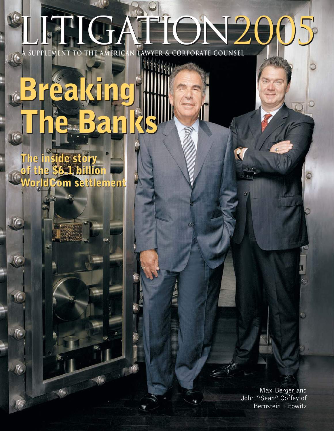## LITIGATION2005 LITIGATION2005 **A SUPPLEMENT TO THE AMERICAN LAWYER & CORPORATE COUNSEL**

#### **The inside story of the \$6.1 billio WorldCom settlement WorldCom settlement The inside story of the \$6.1 billion**

 $\frac{1}{2}$ 

**Breaking** 

**Breaking** 

**The Banks**

**The Banks**

Max Berger and John "Sean" Coffey of Bernstein Litowitz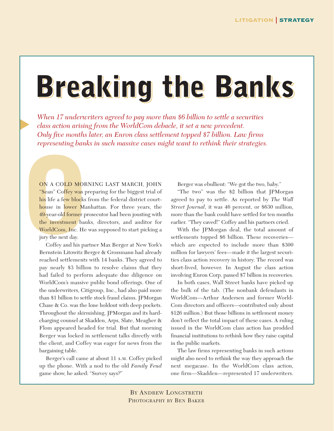## **Breaking the Banks**

*When 17 underwriters agreed to pay more than \$6 billion to settle a securities class action arising from the WorldCom debacle, it set a new precedent. Only five months later, an Enron class settlement topped \$7 billion. Law firms representing banks in such massive cases might want to rethink their strategies.*

ON A COLD MORN<br>
"Sean" Coffey was pr<br>
his life a few blocks f<br>
house in lower Man<br>
49-year-old former pro<br>
the investment bank<br>
WorldCom, Inc. He v<br>
jury the next day.<br>
Coffey and his part<br>
Bernstein I itowitz Be ON A COLD MORNING LAST MARCH, JOHN "Sean" Coffey was preparing for the biggest trial of his life a few blocks from the federal district courthouse in lower Manhattan. For three years, the 49-year-old former prosecutor had been jousting with the investment banks, directors, and auditor for WorldCom, Inc. He was supposed to start picking a jury the next day.

▲

Coffey and his partner Max Berger at New York's Bernstein Litowitz Berger & Grossmann had already reached settlements with 14 banks. They agreed to pay nearly \$3 billion to resolve claims that they had failed to perform adequate due diligence on WorldCom's massive public bond offerings. One of the underwriters, Citigroup, Inc., had also paid more than \$1 billion to settle stock fraud claims. JPMorgan Chase & Co. was the lone holdout with deep pockets. Throughout the skirmishing, JPMorgan and its hardcharging counsel at Skadden, Arps, Slate, Meagher & Flom appeared headed for trial. But that morning Berger was locked in settlement talks directly with the client, and Coffey was eager for news from the bargaining table.

Berger's call came at about 11 A.M. Coffey picked up the phone. With a nod to the old *Family Feud* game show, he asked: "Survey says?"

Berger was ebullient: "We got the two, baby."

"The two" was the \$2 billion that JPMorgan agreed to pay to settle. As reported by *The Wall Street Journal*, it was 46 percent, or \$630 million, more than the bank could have settled for ten months earlier. "They caved!" Coffey and his partners cried.

With the JPMorgan deal, the total amount of settlements topped \$6 billion. These recoveries which are expected to include more than \$300 million for lawyers' fees—made it the largest securities class action recovery in history. The record was short-lived, however. In August the class action involving Enron Corp. passed \$7 billion in recoveries.

In both cases, Wall Street banks have picked up the bulk of the tab. (The nonbank defendants in WorldCom—Arthur Andersen and former World-Com directors and officers—contributed only about \$126 million.) But those billions in settlement money don't reflect the total impact of these cases. A ruling issued in the WorldCom class action has prodded financial institutions to rethink how they raise capital in the public markets.

The law firms representing banks in such actions might also need to rethink the way they approach the next megacase. In the WorldCom class action, one firm—Skadden—represented 17 underwriters.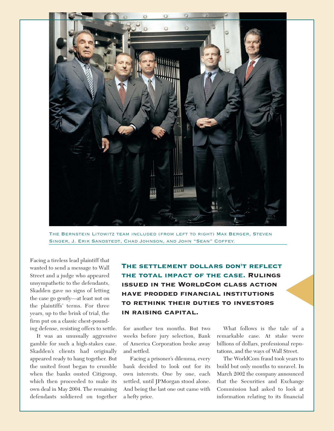

The Bernstein Litowitz team included (from left to right) Max Berger, Steven Singer, J. Erik Sandstedt, Chad Johnson, and John "Sean" Coffey.

Facing a tireless lead plaintiff that wanted to send a message to Wall Street and a judge who appeared unsympathetic to the defendants, Skadden gave no signs of letting the case go gently—at least not on the plaintiffs' terms. For three years, up to the brink of trial, the firm put on a classic chest-pounding defense, resisting offers to settle.

It was an unusually aggressive gamble for such a high-stakes case. Skadden's clients had originally appeared ready to hang together. But the united front began to crumble when the banks ousted Citigroup, which then proceeded to make its own deal in May 2004. The remaining defendants soldiered on together The settlement dollars don't reflect the total impact of the case. Rulings issued in the WorldCom class action have prodded financial institutions to rethink their duties to investors in raising capital.

for another ten months. But two weeks before jury selection, Bank of America Corporation broke away and settled.

Facing a prisoner's dilemma, every bank decided to look out for its own interests. One by one, each settled, until JPMorgan stood alone. And being the last one out came with a hefty price.

What follows is the tale of a remarkable case. At stake were billions of dollars, professional reputations, and the ways of Wall Street.

▲

The WorldCom fraud took years to build but only months to unravel. In March 2002 the company announced that the Securities and Exchange Commission had asked to look at information relating to its financial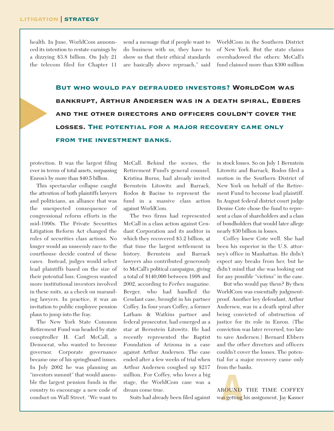▲

health. In June, WorldCom announced its intention to restate earnings by a dizzying \$3.8 billion. On July 21 the telecom filed for Chapter 11

send a message that if people want to do business with us, they have to show us that their ethical standards are basically above reproach," said

WorldCom in the Southern District of New York. But the state claims overshadowed the others: McCall's fund claimed more than \$300 million

But who would pay defrauded investors? WorldCom was bankrupt, Arthur Andersen was in a death spiral, Ebbers and the other directors and officers couldn't cover the losses. The potential for a major recovery came only from the investment banks.

protection. It was the largest filing ever in terms of total assets, surpassing Enron's by more than \$40.5 billion.

This spectacular collapse caught the attention of both plaintiffs lawyers and politicians, an alliance that was the unexpected consequence of congressional reform efforts in the mid-1990s. The Private Securities Litigation Reform Act changed the rules of securities class actions. No longer would an unseemly race to the courthouse decide control of these cases. Instead, judges would select lead plaintiffs based on the size of their potential loss. Congress wanted more institutional investors involved in these suits, as a check on marauding lawyers. In practice, it was an invitation to public employee pension plans to jump into the fray.

The New York State Common Retirement Fund was headed by state comptroller H. Carl McCall, a Democrat, who wanted to become governor. Corporate governance became one of his springboard issues. In July 2002 he was planning an "investors summit" that would assemble the largest pension funds in the country to encourage a new code of conduct on Wall Street. "We want to

McCall. Behind the scenes, the Retirement Fund's general counsel, Kristina Burns, had already invited Bernstein Litowitz and Barrack, Rodos & Bacine to represent the fund in a massive class action against WorldCom.

The two firms had represented McCall in a class action against Cendant Corporation and its auditor in which they recovered \$3.2 billion, at that time the largest settlement in history. Bernstein and Barrack lawyers also contributed generously to McCall's political campaigns, giving a total of \$140,000 between 1998 and 2002, according to *Forbes* magazine. Berger, who had handled the Cendant case, brought in his partner Coffey. In four years Coffey, a former Latham & Watkins partner and federal prosecutor, had emerged as a star at Bernstein Litowitz. He had recently represented the Baptist Foundation of Arizona in a case against Arthur Andersen. The case ended after a few weeks of trial when Arthur Andersen coughed up \$217 million. For Coffey, who loves a big stage, the WorldCom case was a dream come true.

Suits had already been filed against

in stock losses. So on July 1 Bernstein Litowitz and Barrack, Rodos filed a motion in the Southern District of New York on behalf of the Retirement Fund to become lead plaintiff. In August federal district court judge Denise Cote chose the fund to represent a class of shareholders and a class of bondholders that would later allege nearly \$30 billion in losses.

Coffey knew Cote well. She had been his superior in the U.S. attorney's office in Manhattan. He didn't expect any breaks from her, but he didn't mind that she was looking out for any possible "victims" in the case.

But who would pay them? By then WorldCom was essentially judgmentproof. Another key defendant, Arthur Andersen, was in a death spiral after being convicted of obstruction of justice for its role in Enron. (The conviction was later reversed, too late to save Andersen.) Bernard Ebbers and the other directors and officers couldn't cover the losses. The potential for a major recovery came only from the banks.

**ROUND**<br>a<mark>s getting</mark> AROUND THE TIME COFFEY wa<mark>s getting</mark> his assignment, Jay Kasner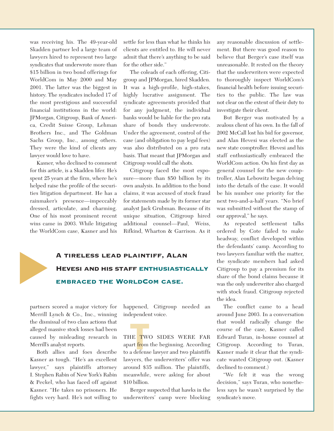was receiving his. The 49-year-old Skadden partner led a large team of lawyers hired to represent two large syndicates that underwrote more than \$15 billion in two bond offerings for WorldCom in May 2000 and May 2001. The latter was the biggest in history. The syndicates included 17 of the most prestigious and successful financial institutions in the world: JPMorgan, Citigroup, Bank of America, Credit Suisse Group, Lehman Brothers Inc., and The Goldman Sachs Group, Inc., among others. They were the kind of clients any lawyer would love to have.

Kasner, who declined to comment for this article, is a Skadden lifer. He's spent 25 years at the firm, where he's helped raise the profile of the securities litigation department. He has a rainmaker's presence—impeccably dressed, articulate, and charming. One of his most prominent recent wins came in 2003. While litigating the WorldCom case, Kasner and his

settle for less than what he thinks his clients are entitled to. He will never admit that there's anything to be said for the other side."

The coleads of each offering, Citigroup and JPMorgan, hired Skadden. It was a high-profile, high-stakes, highly lucrative assignment. The syndicate agreements provided that for any judgment, the individual banks would be liable for the pro rata share of bonds they underwrote. Under the agreement, control of the case (and obligation to pay legal fees) was also distributed on a pro rata basis. That meant that JPMorgan and Citigroup would call the shots.

Citigroup faced the most exposure—more than \$50 billion by its own analysis. In addition to the bond claims, it was accused of stock fraud for statements made by its former star analyst Jack Grubman. Because of its unique situation, Citigroup hired additional counsel—Paul, Weiss, Rifkind, Wharton & Garrison. As it

#### A tireless lead plaintiff, Alan Hevesi and his staff enthusiastically embraced the WorldCom case.

partners scored a major victory for Merrill Lynch & Co., Inc., winning the dismissal of two class actions that alleged massive stock losses had been caused by misleading research in Merrill's analyst reports.

▲

Both allies and foes describe Kasner as tough. "He's an excellent lawyer," says plaintiffs attorney I. Stephen Rabin of New York's Rabin & Peckel, who has faced off against Kasner. "He takes no prisoners. He fights very hard. He's not willing to

happened, Citigroup needed an independent voice.

**T**<br>**T**<br>**T**<br>**T**<br>**E**<br>**T**<br>**E**<br>**E**<br>**E**<br>**E**<br>**E**<br>**E**<br>**E**<br>**E** THE TWO SIDES WERE FAR apart from the beginning. According to a defense lawyer and two plaintiffs lawyers, the underwriters' offer was around \$35 million. The plaintiffs, meanwhile, were asking for about \$10 billion.

Berger suspected that hawks in the underwriters' camp were blocking any reasonable discussion of settlement. But there was good reason to believe that Berger's case itself was unreasonable. It rested on the theory that the underwriters were expected to thoroughly inspect WorldCom's financial health before issuing securities to the public. The law was not clear on the extent of their duty to investigate their client.

But Berger was motivated by a zealous client of his own. In the fall of 2002 McCall lost his bid for governor, and Alan Hevesi was elected as the new state comptroller. Hevesi and his staff enthusiastically embraced the WorldCom action. On his first day as general counsel for the new comptroller, Alan Lebowitz began delving into the details of the case. It would be his number one priority for the next two-and-a-half years. "No brief was submitted without the stamp of our approval," he says.

As repeated settlement talks ordered by Cote failed to make headway, conflict developed within the defendants' camp. According to two lawyers familiar with the matter, the syndicate members had asked Citigroup to pay a premium for its share of the bond claims because it was the only underwriter also charged with stock fraud. Citigroup rejected the idea.

The conflict came to a head around June 2003. In a conversation that would radically change the course of the case, Kasner called Edward Turan, in-house counsel at Citigroup. According to Turan, Kasner made it clear that the syndicate wanted Citigroup out. (Kasner declined to comment.)

"We felt it was the wrong decision," says Turan, who nonetheless says he wasn't surprised by the syndicate's move.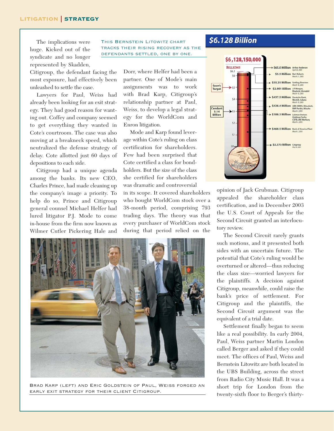#### LITIGATION | STRATEGY

The implications were huge. Kicked out of the syndicate and no longer represented by Skadden,

Citigroup, the defendant facing the most exposure, had effectively been unleashed to settle the case.

Lawyers for Paul, Weiss had already been looking for an exit strategy. They had good reason for wanting out. Coffey and company seemed to get everything they wanted in Cote's courtroom. The case was also moving at a breakneck speed, which neutralized the defense strategy of delay. Cote allotted just 60 days of depositions to each side.

Citigroup had a unique agenda among the banks. Its new CEO, Charles Prince, had made cleaning up the company's image a priority. To help do so, Prince and Citigroup general counsel Michael Helfer had lured litigator P.J. Mode to come in-house from the firm now known as Wilmer Cutler Pickering Hale and

THIS BERNSTEIN LITOWITZ CHART tracks their rising recovery as the defendants settled, one by one.

> Dorr, where Helfer had been a partner. One of Mode's main assignments was to work with Brad Karp, Citigroup's relationship partner at Paul, Weiss, to develop a legal strategy for the WorldCom and Enron litigation.

Mode and Karp found leverage within Cote's ruling on class certification for shareholders. Few had been surprised that Cote certified a class for bondholders. But the size of the class she certified for shareholders was dramatic and controversial

in its scope. It covered shareholders who bought WorldCom stock over a 38-month period, comprising 793 trading days. The theory was that every purchaser of WorldCom stock during that period relied on the



Brad Karp (left) and Eric Goldstein of Paul, Weiss forged an early exit strategy for their client Citigroup.

#### **\$6.128 Billion**



opinion of Jack Grubman. Citigroup appealed the shareholder class certification, and in December 2003 the U.S. Court of Appeals for the Second Circuit granted an interlocutory review.

The Second Circuit rarely grants such motions, and it presented both sides with an uncertain future. The potential that Cote's ruling would be overturned or altered—thus reducing the class size—worried lawyers for the plaintiffs. A decision against Citigroup, meanwhile, could raise the bank's price of settlement. For Citigroup and the plaintiffs, the Second Circuit argument was the equivalent of a trial date.

Settlement finally began to seem like a real possibility. In early 2004, Paul, Weiss partner Martin London called Berger and asked if they could meet. The offices of Paul, Weiss and Bernstein Litowitz are both located in the UBS Building, across the street from Radio City Music Hall. It was a short trip for London from the twenty-sixth floor to Berger's thirty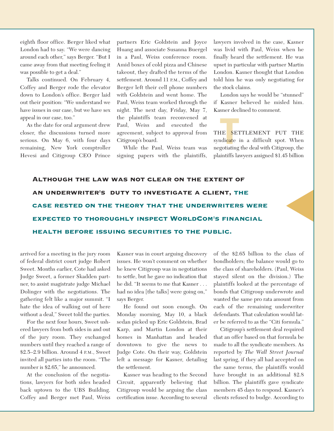eighth floor office. Berger liked what London had to say. "We were dancing around each other," says Berger. "But I came away from that meeting feeling it was possible to get a deal."

Talks continued. On February 4, Coffey and Berger rode the elevator down to London's office. Berger laid out their position: "We understand we have issues in our case, but we have sex appeal in our case, too."

As the date for oral argument drew closer, the discussions turned more serious. On May 6, with four days remaining, New York comptroller Hevesi and Citigroup CEO Prince partners Eric Goldstein and Joyce Huang and associate Susanna Buergel in a Paul, Weiss conference room. Amid boxes of cold pizza and Chinese takeout, they drafted the terms of the settlement. Around 11 P.M., Coffey and Berger left their cell phone numbers with Goldstein and went home. The Paul, Weiss team worked through the night. The next day, Friday, May 7, the plaintiffs team reconvened at Paul, Weiss and executed the agreement, subject to approval from Citigroup's board.

While the Paul, Weiss team was signing papers with the plaintiffs,

lawyers involved in the case, Kasner was livid with Paul, Weiss when he finally heard the settlement. He was upset in particular with partner Martin London. Kasner thought that London told him he was only negotiating for the stock claims.

London says he would be "stunned" if Kasner believed he misled him. Kasner declined to comment.



**THE**<br> **THE**<br> **SET**<br> **THE**<br> **THE**<br> **THE**<br> **THE** THE SETTLEMENT PUT THE syndi<mark>cat</mark>e in a difficult spot. When negotiating the deal with Citigroup, the plaintiffs lawyers assigned \$1.45 billion

▲

Although the law was not clear on the extent of an underwriter's duty to investigate a client, the case rested on the theory that the underwriters were expected to thoroughly inspect WorldCom's financial health before issuing securities to the public.

arrived for a meeting in the jury room of federal district court judge Robert Sweet. Months earlier, Cote had asked Judge Sweet, a former Skadden partner, to assist magistrate judge Michael Dolinger with the negotiations. The gathering felt like a major summit. "I hate the idea of walking out of here without a deal," Sweet told the parties.

For the next four hours, Sweet ushered lawyers from both sides in and out of the jury room. They exchanged numbers until they reached a range of \$2.5–2.9 billion. Around 4 P.M., Sweet invited all parties into the room. "The number is \$2.65," he announced.

At the conclusion of the negotiations, lawyers for both sides headed back uptown to the UBS Building. Coffey and Berger met Paul, Weiss

Kasner was in court arguing discovery issues. He won't comment on whether he knew Citigroup was in negotiations to settle, but he gave no indication that he did. "It seems to me that Kasner . . . had no idea [the talks] were going on," says Berger.

He found out soon enough. On Monday morning, May 10, a black sedan picked up Eric Goldstein, Brad Karp, and Martin London at their homes in Manhattan and headed downtown to give the news to Judge Cote. On their way, Goldstein left a message for Kasner, detailing the settlement.

Kasner was heading to the Second Circuit, apparently believing that Citigroup would be arguing the class certification issue. According to several

of the \$2.65 billion to the class of bondholders; the balance would go to the class of shareholders. (Paul, Weiss stayed silent on the division.) The plaintiffs looked at the percentage of bonds that Citigroup underwrote and wanted the same pro rata amount from each of the remaining underwriter defendants. That calculation would later be referred to as the "Citi formula."

Citigroup's settlement deal required that an offer based on that formula be made to all the syndicate members. As reported by *The Wall Street Journal* last spring, if they all had accepted on the same terms, the plaintiffs would have brought in an additional \$2.8 billion. The plaintiffs gave syndicate members 45 days to respond. Kasner's clients refused to budge. According to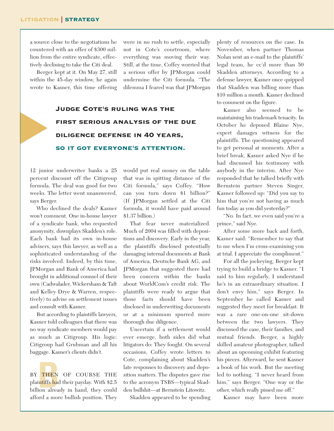▲

a source close to the negotiations he countered with an offer of \$300 million from the entire syndicate, effectively declining to take the Citi deal.

Berger kept at it. On May 27, still within the 45-day window, he again wrote to Kasner, this time offering were in no rush to settle, especially not in Cote's courtroom, where everything was moving their way. Still, at the time, Coffey worried that a serious offer by JPMorgan could undermine the Citi formula. "The dilemma I feared was that JPMorgan

### Judge Cote's ruling was the first serious analysis of the due diligence defense in 40 years, so it got everyone's attention.

12 junior underwriter banks a 25 percent discount off the Citigroup formula. The deal was good for two weeks. The letter went unanswered, says Berger.

Who declined the deals? Kasner won't comment. One in-house lawyer of a syndicate bank, who requested anonymity, downplays Skadden's role. Each bank had its own in-house advisers, says this lawyer, as well as a sophisticated understanding of the risks involved. Indeed, by this time, JPMorgan and Bank of America had brought in additional counsel of their own (Cadwalader, Wickersham & Taft and Kelley Drye & Warren, respectively) to advise on settlement issues and consult with Kasner.

But according to plaintiffs lawyers, Kasner told colleagues that there was no way syndicate members would pay as much as Citigroup. His logic: Citigroup had Grubman and all his baggage. Kasner's clients didn't.

BY THEN OF COURSE THE<br>plaintiffs had their payday. With \$2.5<br>billion already in hand, they could BY THEN OF COURSE THE plaintiffs had their payday. With \$2.5 afford a more bullish position. They

would put real money on the table that was in spitting distance of the Citi formula," says Coffey. "How can you turn down \$1 billion?" (If JPMorgan settled at the Citi formula, it would have paid around \$1.37 billion.)

That fear never materialized. Much of 2004 was filled with depositions and discovery. Early in the year, the plaintiffs disclosed potentially damaging internal documents at Bank of America, Deutsche Bank AG, and JPMorgan that suggested there had been concern within the banks about WorldCom's credit risk. The plaintiffs were ready to argue that those facts should have been disclosed in underwriting documents or at a minimum spurred more thorough due diligence.

Uncertain if a settlement would ever emerge, both sides did what litigators do: They fought. On several occasions, Coffey wrote letters to Cote, complaining about Skadden's late responses to discovery and deposition matters. The disputes gave rise to the acronym TSBS—typical Skadden bullshit—at Bernstein Litowitz.

Skadden appeared to be spending

plenty of resources on the case. In November, when partner Thomas Nolan sent an e-mail to the plaintiffs' legal team, he cc'd more than 50 Skadden attorneys. According to a defense lawyer, Kasner once quipped that Skadden was billing more than \$10 million a month. Kasner declined to comment on the figure.

Kasner also seemed to be maintaining his trademark tenacity. In October he deposed Blaine Nye, expert damages witness for the plaintiffs. The questioning appeared to get personal at moments. After a brief break, Kasner asked Nye if he had discussed his testimony with anybody in the interim. After Nye responded that he talked briefly with Bernstein partner Steven Singer, Kasner followed up: "Did you say to him that you're not having as much fun today as you did yesterday?"

"No. In fact, we even said you're a prince," said Nye.

After some more back and forth, Kasner said: "Remember to say that to me when I'm cross-examining you at trial. I appreciate the compliment."

For all the jockeying, Berger kept trying to build a bridge to Kasner. "I said to him regularly, I understand he's in an extraordinary situation. I don't envy him," says Berger. In September he called Kasner and suggested they meet for breakfast. It was a rare one-on-one sit-down between the two lawyers. They discussed the case, their families, and mutual friends. Berger, a highly skilled amateur photographer, talked about an upcoming exhibit featuring his pieces. Afterward, he sent Kasner a book of his work. But the meeting led to nothing. "I never heard from him," says Berger. "One way or the other, which really pissed me off."

Kasner may have been more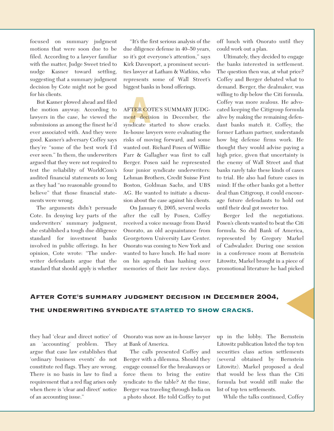focused on summary judgment motions that were soon due to be filed. According to a lawyer familiar with the matter, Judge Sweet tried to nudge Kasner toward settling, suggesting that a summary judgment decision by Cote might not be good for his clients.

But Kasner plowed ahead and filed the motion anyway. According to lawyers in the case, he viewed the submissions as among the finest he'd ever associated with. And they were good. Kasner's adversary Coffey says they're "some of the best work I'd ever seen." In them, the underwriters argued that they were not required to test the reliability of WorldCom's audited financial statements so long as they had "no reasonable ground to believe" that those financial statements were wrong.

The arguments didn't persuade Cote. In denying key parts of the underwriters' summary judgment, she established a tough due diligence standard for investment banks involved in public offerings. In her opinion, Cote wrote: "The underwriter defendants argue that the standard that should apply is whether

"It's the first serious analysis of the due diligence defense in 40–50 years, so it's got everyone's attention," says Kirk Davenport, a prominent securities lawyer at Latham & Watkins, who represents some of Wall Street's biggest banks in bond offerings.

**FTER CO**<br>ent decis<br>ndicate s AFT<mark>ER C</mark>OTE'S SUMMARY JUDGment decision in December, the syndicate started to show cracks. In-house lawyers were evaluating the risks of moving forward, and some wanted out. Richard Posen of Willkie Farr & Gallagher was first to call Berger. Posen said he represented four junior syndicate underwriters: Lehman Brothers, Credit Suisse First Boston, Goldman Sachs, and UBS AG. He wanted to initiate a discussion about the case against his clients.

On January 6, 2005, several weeks after the call by Posen, Coffey received a voice message from David Onorato, an old acquaintance from Georgetown University Law Center. Onorato was coming to New York and wanted to have lunch. He had more on his agenda than hashing over memories of their law review days.

off lunch with Onorato until they could work out a plan.

Ultimately, they decided to engage the banks interested in settlement. The question then was, at what price? Coffey and Berger debated what to demand. Berger, the dealmaker, was willing to dip below the Citi formula. Coffey was more zealous. He advocated keeping the Citigroup formula alive by making the remaining defendant banks match it. Coffey, the former Latham partner, understands how big defense firms work. He thought they would advise paying a high price, given that uncertainty is the enemy of Wall Street and that banks rarely take these kinds of cases to trial. He also had future cases in mind: If the other banks got a better deal than Citigroup, it could encourage future defendants to hold out until their deal got sweeter too.

Berger led the negotiations. Posen's clients wanted to beat the Citi formula. So did Bank of America, represented by Gregory Markel of Cadwalader. During one session in a conference room at Bernstein Litowitz, Markel brought in a piece of promotional literature he had picked

# AFTER COTE'S SUMMARY JUDGMENT DECISION IN DECEMBER 2004,<br>THE UNDERWRITING SYNDICATE STARTED TO SHOW CRACKS.

they had 'clear and direct notice' of an 'accounting' problem. They argue that case law establishes that 'ordinary business events' do not constitute red flags. They are wrong. There is no basis in law to find a requirement that a red flag arises only when there is 'clear and direct' notice of an accounting issue."

Onorato was now an in-house lawyer at Bank of America.

The calls presented Coffey and Berger with a dilemma. Should they engage counsel for the breakaways or force them to bring the entire syndicate to the table? At the time, Berger was traveling through India on a photo shoot. He told Coffey to put

up in the lobby. The Bernstein Litowitz publication listed the top ten securities class action settlements (several obtained by Bernstein Litowitz). Markel proposed a deal that would be less than the Citi formula but would still make the list of top ten settlements.

While the talks continued, Coffey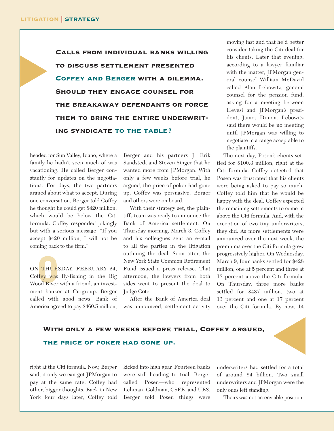▲

Calls from individual banks willing to discuss settlement presented Coffey and Berger with a dilemma. Should they engage counsel for the breakaway defendants or force them to bring the entire underwriting syndicate to the table?

headed for Sun Valley, Idaho, where a family he hadn't seen much of was vacationing. He called Berger constantly for updates on the negotiations. For days, the two partners argued about what to accept. During one conversation, Berger told Coffey he thought he could get \$420 million, which would be below the Citi formula. Coffey responded jokingly but with a serious message: "If you accept \$420 million, I will not be coming back to the firm."

**CONTROLLER**<br>OPPOSTOR RESPONSE<br>OPPOSTOR ON THURSDAY, FEBRUARY 24, Coffey was fly-fishing in the Big Wood River with a friend, an investment banker at Citigroup. Berger called with good news: Bank of America agreed to pay \$460.5 million, Berger and his partners J. Erik Sandstedt and Steven Singer that he wanted more from JPMorgan. With only a few weeks before trial, he argued, the price of poker had gone up. Coffey was persuasive. Berger and others were on board.

With their strategy set, the plaintiffs team was ready to announce the Bank of America settlement. On Thursday morning, March 3, Coffey and his colleagues sent an e-mail to all the parties in the litigation outlining the deal. Soon after, the New York State Common Retirement Fund issued a press release. That afternoon, the lawyers from both sides went to present the deal to Judge Cote.

After the Bank of America deal was announced, settlement activity

moving fast and that he'd better consider taking the Citi deal for his clients. Later that evening, according to a lawyer familiar with the matter, JPMorgan general counsel William McDavid called Alan Lebowitz, general counsel for the pension fund, asking for a meeting between Hevesi and JPMorgan's president, James Dimon. Lebowitz said there would be no meeting until JPMorgan was willing to negotiate in a range acceptable to the plaintiffs.

The next day, Posen's clients settled for \$100.3 million, right at the Citi formula. Coffey detected that Posen was frustrated that his clients were being asked to pay so much. Coffey told him that he would be happy with the deal. Coffey expected the remaining settlements to come in above the Citi formula. And, with the exception of two tiny underwriters, they did. As more settlements were announced over the next week, the premiums over the Citi formula grew progressively higher. On Wednesday, March 9, four banks settled for \$428 million, one at 5 percent and three at 13 percent above the Citi formula. On Thursday, three more banks settled for \$437 million, two at 13 percent and one at 17 percent over the Citi formula. By now, 14

### With only a few weeks before trial, Coffey argued, WITH ONLY A FEW WEEKS BEFORE TRIAL, COFFEY ARGUED,<br>THE PRICE OF POKER HAD GONE UP.

right at the Citi formula. Now, Berger said, if only we can get JPMorgan to pay at the same rate. Coffey had other, bigger thoughts. Back in New York four days later, Coffey told kicked into high gear. Fourteen banks were still heading to trial. Berger called Posen—who represented Lehman, Goldman, CSFB, and UBS. Berger told Posen things were

underwriters had settled for a total of around \$4 billion. Two small underwriters and JPMorgan were the only ones left standing.

Theirs was not an enviable position.